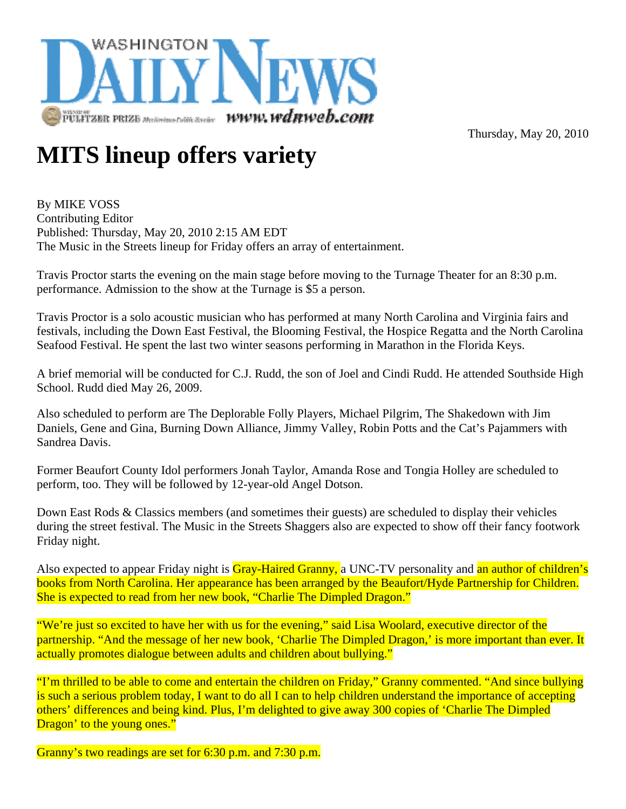

Thursday, May 20, 2010

## **MITS lineup offers variety**

By MIKE VOSS Contributing Editor Published: Thursday, May 20, 2010 2:15 AM EDT The Music in the Streets lineup for Friday offers an array of entertainment.

Travis Proctor starts the evening on the main stage before moving to the Turnage Theater for an 8:30 p.m. performance. Admission to the show at the Turnage is \$5 a person.

Travis Proctor is a solo acoustic musician who has performed at many North Carolina and Virginia fairs and festivals, including the Down East Festival, the Blooming Festival, the Hospice Regatta and the North Carolina Seafood Festival. He spent the last two winter seasons performing in Marathon in the Florida Keys.

A brief memorial will be conducted for C.J. Rudd, the son of Joel and Cindi Rudd. He attended Southside High School. Rudd died May 26, 2009.

Also scheduled to perform are The Deplorable Folly Players, Michael Pilgrim, The Shakedown with Jim Daniels, Gene and Gina, Burning Down Alliance, Jimmy Valley, Robin Potts and the Cat's Pajammers with Sandrea Davis.

Former Beaufort County Idol performers Jonah Taylor, Amanda Rose and Tongia Holley are scheduled to perform, too. They will be followed by 12-year-old Angel Dotson.

Down East Rods & Classics members (and sometimes their guests) are scheduled to display their vehicles during the street festival. The Music in the Streets Shaggers also are expected to show off their fancy footwork Friday night.

Also expected to appear Friday night is Gray-Haired Granny, a UNC-TV personality and an author of children's books from North Carolina. Her appearance has been arranged by the Beaufort/Hyde Partnership for Children. She is expected to read from her new book, "Charlie The Dimpled Dragon."

"We're just so excited to have her with us for the evening," said Lisa Woolard, executive director of the partnership. "And the message of her new book, 'Charlie The Dimpled Dragon,' is more important than ever. It actually promotes dialogue between adults and children about bullying."

"I'm thrilled to be able to come and entertain the children on Friday," Granny commented. "And since bullying is such a serious problem today, I want to do all I can to help children understand the importance of accepting others' differences and being kind. Plus, I'm delighted to give away 300 copies of 'Charlie The Dimpled Dragon' to the young ones."

Granny's two readings are set for 6:30 p.m. and 7:30 p.m.